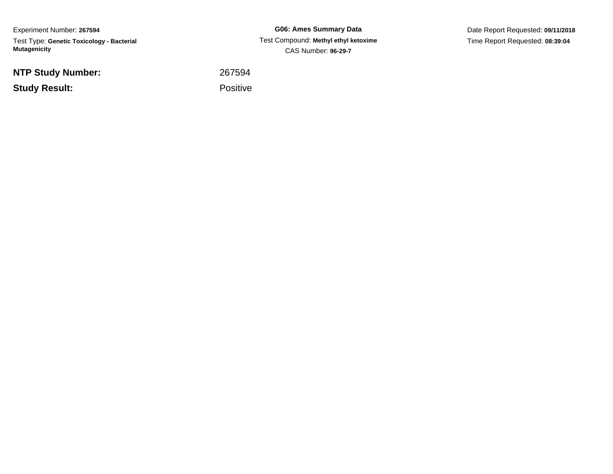Experiment Number: **267594**Test Type: **Genetic Toxicology - Bacterial Mutagenicity**

**NTP Study Number:**

**Study Result:**

**G06: Ames Summary Data** Test Compound: **Methyl ethyl ketoxime**CAS Number: **96-29-7**

Date Report Requested: **09/11/2018**Time Report Requested: **08:39:04**

<sup>267594</sup>

Positive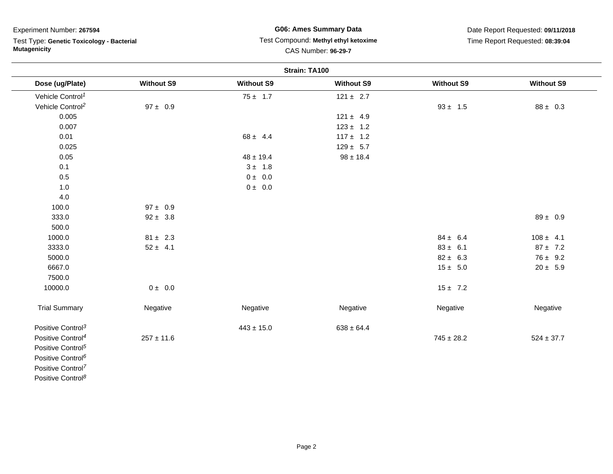Test Type: **Genetic Toxicology - Bacterial Mutagenicity**

#### **G06: Ames Summary Data** Test Compound: **Methyl ethyl ketoxime**CAS Number: **96-29-7**

| Strain: TA100                 |                   |                   |                   |                   |                   |
|-------------------------------|-------------------|-------------------|-------------------|-------------------|-------------------|
| Dose (ug/Plate)               | <b>Without S9</b> | <b>Without S9</b> | <b>Without S9</b> | <b>Without S9</b> | <b>Without S9</b> |
| Vehicle Control <sup>1</sup>  |                   | $75 \pm 1.7$      | $121 \pm 2.7$     |                   |                   |
| Vehicle Control <sup>2</sup>  | $97 \pm 0.9$      |                   |                   | $93 \pm 1.5$      | $88 \pm 0.3$      |
| 0.005                         |                   |                   | $121 \pm 4.9$     |                   |                   |
| 0.007                         |                   |                   | $123 \pm 1.2$     |                   |                   |
| 0.01                          |                   | $68 \pm 4.4$      | $117 \pm 1.2$     |                   |                   |
| 0.025                         |                   |                   | $129 \pm 5.7$     |                   |                   |
| 0.05                          |                   | $48 \pm 19.4$     | $98 \pm 18.4$     |                   |                   |
| 0.1                           |                   | $3 \pm 1.8$       |                   |                   |                   |
| 0.5                           |                   | $0 \pm 0.0$       |                   |                   |                   |
| 1.0                           |                   | $0 \pm 0.0$       |                   |                   |                   |
| 4.0                           |                   |                   |                   |                   |                   |
| 100.0                         | $97 \pm 0.9$      |                   |                   |                   |                   |
| 333.0                         | $92 \pm 3.8$      |                   |                   |                   | $89 \pm 0.9$      |
| 500.0                         |                   |                   |                   |                   |                   |
| 1000.0                        | $81 \pm 2.3$      |                   |                   | $84 \pm 6.4$      | $108 \pm 4.1$     |
| 3333.0                        | $52 \pm 4.1$      |                   |                   | $83 \pm 6.1$      | $87 \pm 7.2$      |
| 5000.0                        |                   |                   |                   | $82 \pm 6.3$      | $76 \pm 9.2$      |
| 6667.0                        |                   |                   |                   | $15 \pm 5.0$      | $20 \pm 5.9$      |
| 7500.0                        |                   |                   |                   |                   |                   |
| 10000.0                       | $0 \pm 0.0$       |                   |                   | $15 \pm 7.2$      |                   |
| <b>Trial Summary</b>          | Negative          | Negative          | Negative          | Negative          | Negative          |
| Positive Control <sup>3</sup> |                   | $443 \pm 15.0$    | $638 \pm 64.4$    |                   |                   |
| Positive Control <sup>4</sup> | $257 \pm 11.6$    |                   |                   | $745 \pm 28.2$    | $524 \pm 37.7$    |
| Positive Control <sup>5</sup> |                   |                   |                   |                   |                   |
| Positive Control <sup>6</sup> |                   |                   |                   |                   |                   |
| Positive Control <sup>7</sup> |                   |                   |                   |                   |                   |
| Positive Control <sup>8</sup> |                   |                   |                   |                   |                   |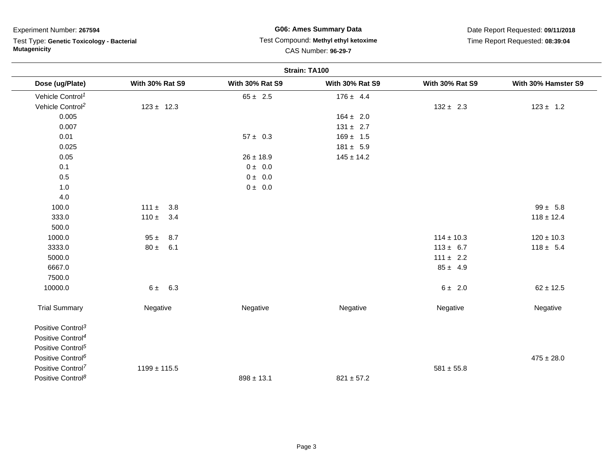Test Type: **Genetic Toxicology - Bacterial Mutagenicity**

#### **G06: Ames Summary Data** Test Compound: **Methyl ethyl ketoxime**CAS Number: **96-29-7**

| Strain: TA100                 |                        |                        |                        |                        |                     |  |
|-------------------------------|------------------------|------------------------|------------------------|------------------------|---------------------|--|
| Dose (ug/Plate)               | <b>With 30% Rat S9</b> | <b>With 30% Rat S9</b> | <b>With 30% Rat S9</b> | <b>With 30% Rat S9</b> | With 30% Hamster S9 |  |
| Vehicle Control <sup>1</sup>  |                        | $65 \pm 2.5$           | $176 \pm 4.4$          |                        |                     |  |
| Vehicle Control <sup>2</sup>  | $123 \pm 12.3$         |                        |                        | $132 \pm 2.3$          | $123 \pm 1.2$       |  |
| 0.005                         |                        |                        | $164 \pm 2.0$          |                        |                     |  |
| 0.007                         |                        |                        | $131 \pm 2.7$          |                        |                     |  |
| 0.01                          |                        | $57 \pm 0.3$           | $169 \pm 1.5$          |                        |                     |  |
| 0.025                         |                        |                        | $181 \pm 5.9$          |                        |                     |  |
| 0.05                          |                        | $26 \pm 18.9$          | $145 \pm 14.2$         |                        |                     |  |
| 0.1                           |                        | 0 ± 0.0                |                        |                        |                     |  |
| 0.5                           |                        | $0 \pm 0.0$            |                        |                        |                     |  |
| 1.0                           |                        | $0 \pm 0.0$            |                        |                        |                     |  |
| 4.0                           |                        |                        |                        |                        |                     |  |
| 100.0                         | $111 \pm 3.8$          |                        |                        |                        | $99 \pm 5.8$        |  |
| 333.0                         | $110 \pm 3.4$          |                        |                        |                        | $118 \pm 12.4$      |  |
| 500.0                         |                        |                        |                        |                        |                     |  |
| 1000.0                        | $95 \pm 8.7$           |                        |                        | $114 \pm 10.3$         | $120 \pm 10.3$      |  |
| 3333.0                        | $80 \pm 6.1$           |                        |                        | $113 \pm 6.7$          | $118 \pm 5.4$       |  |
| 5000.0                        |                        |                        |                        | $111 \pm 2.2$          |                     |  |
| 6667.0                        |                        |                        |                        | $85 \pm 4.9$           |                     |  |
| 7500.0                        |                        |                        |                        |                        |                     |  |
| 10000.0                       | $6 \pm 6.3$            |                        |                        | $6 \pm 2.0$            | $62 \pm 12.5$       |  |
| <b>Trial Summary</b>          | Negative               | Negative               | Negative               | Negative               | Negative            |  |
| Positive Control <sup>3</sup> |                        |                        |                        |                        |                     |  |
| Positive Control <sup>4</sup> |                        |                        |                        |                        |                     |  |
| Positive Control <sup>5</sup> |                        |                        |                        |                        |                     |  |
| Positive Control <sup>6</sup> |                        |                        |                        |                        | $475 \pm 28.0$      |  |
| Positive Control <sup>7</sup> | $1199 \pm 115.5$       |                        |                        | $581 \pm 55.8$         |                     |  |
| Positive Control <sup>8</sup> |                        | $898 \pm 13.1$         | $821 \pm 57.2$         |                        |                     |  |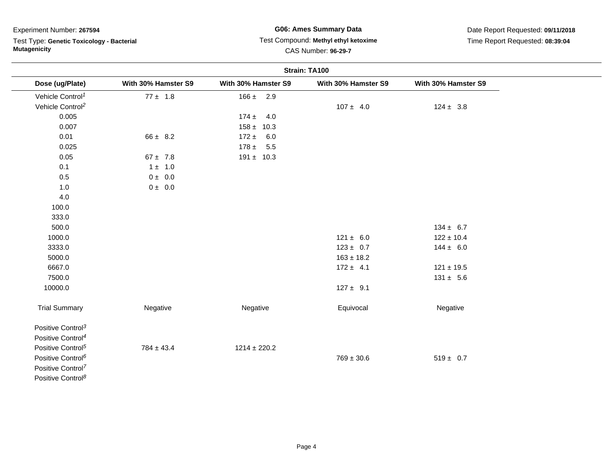Test Type: **Genetic Toxicology - Bacterial Mutagenicity**

# **G06: Ames Summary Data**Test Compound: **Methyl ethyl ketoxime**

Date Report Requested: **09/11/2018**Time Report Requested: **08:39:04**

## CAS Number: **96-29-7**

|                               | Strain: TA100        |                     |                     |                     |  |
|-------------------------------|----------------------|---------------------|---------------------|---------------------|--|
| Dose (ug/Plate)               | With 30% Hamster S9  | With 30% Hamster S9 | With 30% Hamster S9 | With 30% Hamster S9 |  |
| Vehicle Control <sup>1</sup>  | $77 \pm 1.8$         | $166 \pm 2.9$       |                     |                     |  |
| Vehicle Control <sup>2</sup>  |                      |                     | $107 \pm 4.0$       | $124 \pm 3.8$       |  |
| 0.005                         |                      | $174 \pm 4.0$       |                     |                     |  |
| 0.007                         |                      | $158 \pm 10.3$      |                     |                     |  |
| 0.01                          | $66 \pm 8.2$         | $172 \pm 6.0$       |                     |                     |  |
| 0.025                         |                      | $178 \pm 5.5$       |                     |                     |  |
| 0.05                          | $67 \pm 7.8$         | $191 \pm 10.3$      |                     |                     |  |
| 0.1                           | $1 \pm 1.0$          |                     |                     |                     |  |
| $0.5\,$                       | $0 \pm 0.0$          |                     |                     |                     |  |
| 1.0                           | $0\pm\phantom{0}0.0$ |                     |                     |                     |  |
| 4.0                           |                      |                     |                     |                     |  |
| 100.0                         |                      |                     |                     |                     |  |
| 333.0                         |                      |                     |                     |                     |  |
| 500.0                         |                      |                     |                     | $134 \pm 6.7$       |  |
| 1000.0                        |                      |                     | $121 \pm 6.0$       | $122 \pm 10.4$      |  |
| 3333.0                        |                      |                     | $123 \pm 0.7$       | $144 \pm 6.0$       |  |
| 5000.0                        |                      |                     | $163 \pm 18.2$      |                     |  |
| 6667.0                        |                      |                     | $172 \pm 4.1$       | $121 \pm 19.5$      |  |
| 7500.0                        |                      |                     |                     | $131 \pm 5.6$       |  |
| 10000.0                       |                      |                     | $127 \pm 9.1$       |                     |  |
| <b>Trial Summary</b>          | Negative             | Negative            | Equivocal           | Negative            |  |
| Positive Control <sup>3</sup> |                      |                     |                     |                     |  |
| Positive Control <sup>4</sup> |                      |                     |                     |                     |  |
| Positive Control <sup>5</sup> | $784 \pm 43.4$       | $1214 \pm 220.2$    |                     |                     |  |
| Positive Control <sup>6</sup> |                      |                     | $769 \pm 30.6$      | $519 \pm 0.7$       |  |
| Positive Control <sup>7</sup> |                      |                     |                     |                     |  |
| Positive Control <sup>8</sup> |                      |                     |                     |                     |  |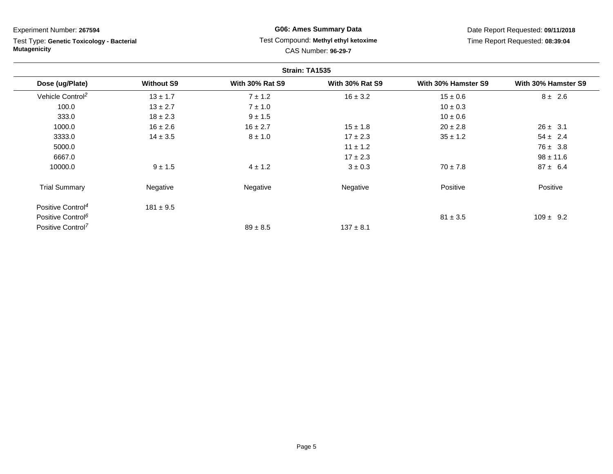Test Type: **Genetic Toxicology - Bacterial Mutagenicity**

### **G06: Ames Summary Data** Test Compound: **Methyl ethyl ketoxime**CAS Number: **96-29-7**

| Strain: TA1535                |                   |                        |                        |                     |                     |  |
|-------------------------------|-------------------|------------------------|------------------------|---------------------|---------------------|--|
| Dose (ug/Plate)               | <b>Without S9</b> | <b>With 30% Rat S9</b> | <b>With 30% Rat S9</b> | With 30% Hamster S9 | With 30% Hamster S9 |  |
| Vehicle Control <sup>2</sup>  | $13 \pm 1.7$      | $7 \pm 1.2$            | $16 \pm 3.2$           | $15 \pm 0.6$        | $8 \pm 2.6$         |  |
| 100.0                         | $13 \pm 2.7$      | $7 \pm 1.0$            |                        | $10 \pm 0.3$        |                     |  |
| 333.0                         | $18 \pm 2.3$      | $9 \pm 1.5$            |                        | $10 \pm 0.6$        |                     |  |
| 1000.0                        | $16 \pm 2.6$      | $16 \pm 2.7$           | $15 \pm 1.8$           | $20 \pm 2.8$        | $26 \pm 3.1$        |  |
| 3333.0                        | $14 \pm 3.5$      | $8 \pm 1.0$            | $17 \pm 2.3$           | $35 \pm 1.2$        | $54 \pm 2.4$        |  |
| 5000.0                        |                   |                        | $11 \pm 1.2$           |                     | $76 \pm 3.8$        |  |
| 6667.0                        |                   |                        | $17 \pm 2.3$           |                     | $98 \pm 11.6$       |  |
| 10000.0                       | $9 \pm 1.5$       | $4 \pm 1.2$            | $3 \pm 0.3$            | $70 \pm 7.8$        | $87 \pm 6.4$        |  |
| <b>Trial Summary</b>          | Negative          | Negative               | Negative               | Positive            | Positive            |  |
| Positive Control <sup>4</sup> | $181 \pm 9.5$     |                        |                        |                     |                     |  |
| Positive Control <sup>6</sup> |                   |                        |                        | $81 \pm 3.5$        | $109 \pm 9.2$       |  |
| Positive Control <sup>7</sup> |                   | $89 \pm 8.5$           | $137 \pm 8.1$          |                     |                     |  |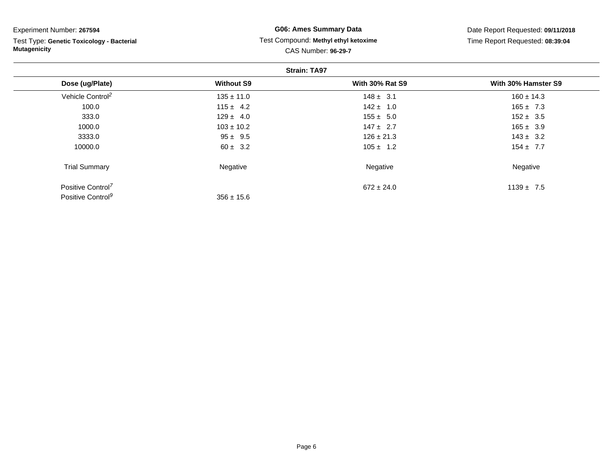Test Type: **Genetic Toxicology - Bacterial Mutagenicity**

#### **G06: Ames Summary Data** Test Compound: **Methyl ethyl ketoxime**CAS Number: **96-29-7**

| <b>Strain: TA97</b>           |                   |                        |                     |  |  |
|-------------------------------|-------------------|------------------------|---------------------|--|--|
| Dose (ug/Plate)               | <b>Without S9</b> | <b>With 30% Rat S9</b> | With 30% Hamster S9 |  |  |
| Vehicle Control <sup>2</sup>  | $135 \pm 11.0$    | $148 \pm 3.1$          | $160 \pm 14.3$      |  |  |
| 100.0                         | $115 \pm 4.2$     | $142 \pm 1.0$          | $165 \pm 7.3$       |  |  |
| 333.0                         | $129 \pm 4.0$     | $155 \pm 5.0$          | $152 \pm 3.5$       |  |  |
| 1000.0                        | $103 \pm 10.2$    | $147 \pm 2.7$          | $165 \pm 3.9$       |  |  |
| 3333.0                        | $95 \pm 9.5$      | $126 \pm 21.3$         | $143 \pm 3.2$       |  |  |
| 10000.0                       | $60 \pm 3.2$      | $105 \pm 1.2$          | $154 \pm 7.7$       |  |  |
| <b>Trial Summary</b>          | Negative          | Negative               | Negative            |  |  |
| Positive Control <sup>7</sup> |                   | $672 \pm 24.0$         | $1139 \pm 7.5$      |  |  |
| Positive Control <sup>9</sup> | $356 \pm 15.6$    |                        |                     |  |  |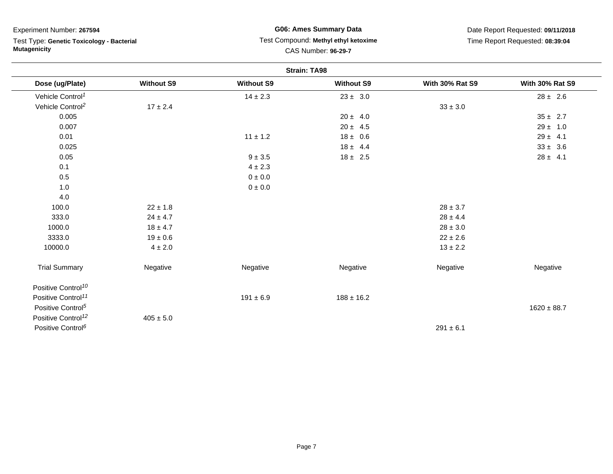Test Type: **Genetic Toxicology - Bacterial Mutagenicity**

### **G06: Ames Summary Data** Test Compound: **Methyl ethyl ketoxime**CAS Number: **96-29-7**

| <b>Strain: TA98</b>            |                   |                   |                   |                        |                        |
|--------------------------------|-------------------|-------------------|-------------------|------------------------|------------------------|
| Dose (ug/Plate)                | <b>Without S9</b> | <b>Without S9</b> | <b>Without S9</b> | <b>With 30% Rat S9</b> | <b>With 30% Rat S9</b> |
| Vehicle Control <sup>1</sup>   |                   | $14 \pm 2.3$      | $23 \pm 3.0$      |                        | $28 \pm 2.6$           |
| Vehicle Control <sup>2</sup>   | $17 \pm 2.4$      |                   |                   | $33\pm3.0$             |                        |
| 0.005                          |                   |                   | $20 \pm 4.0$      |                        | $35 \pm 2.7$           |
| 0.007                          |                   |                   | $20 \pm 4.5$      |                        | $29 \pm 1.0$           |
| 0.01                           |                   | $11 \pm 1.2$      | $18 \pm 0.6$      |                        | $29 \pm 4.1$           |
| 0.025                          |                   |                   | $18 \pm 4.4$      |                        | $33 \pm 3.6$           |
| 0.05                           |                   | $9\pm3.5$         | $18 \pm 2.5$      |                        | $28 \pm 4.1$           |
| 0.1                            |                   | $4 \pm 2.3$       |                   |                        |                        |
| 0.5                            |                   | $0\pm0.0$         |                   |                        |                        |
| 1.0                            |                   | 0 ± 0.0           |                   |                        |                        |
| 4.0                            |                   |                   |                   |                        |                        |
| 100.0                          | $22\pm1.8$        |                   |                   | $28\pm3.7$             |                        |
| 333.0                          | $24 \pm 4.7$      |                   |                   | $28 \pm 4.4$           |                        |
| 1000.0                         | $18 \pm 4.7$      |                   |                   | $28\pm3.0$             |                        |
| 3333.0                         | $19 \pm 0.6$      |                   |                   | $22 \pm 2.6$           |                        |
| 10000.0                        | $4\pm2.0$         |                   |                   | $13 \pm 2.2$           |                        |
| <b>Trial Summary</b>           | Negative          | Negative          | Negative          | Negative               | Negative               |
| Positive Control <sup>10</sup> |                   |                   |                   |                        |                        |
| Positive Control <sup>11</sup> |                   | $191 \pm 6.9$     | $188 \pm 16.2$    |                        |                        |
| Positive Control <sup>5</sup>  |                   |                   |                   |                        | $1620 \pm 88.7$        |
| Positive Control <sup>12</sup> | $405 \pm 5.0$     |                   |                   |                        |                        |
| Positive Control <sup>6</sup>  |                   |                   |                   | $291 \pm 6.1$          |                        |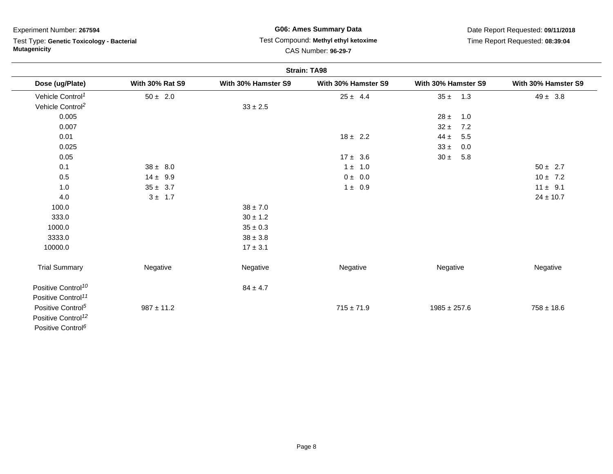Test Type: **Genetic Toxicology - Bacterial Mutagenicity**

### **G06: Ames Summary Data** Test Compound: **Methyl ethyl ketoxime**CAS Number: **96-29-7**

| <b>Strain: TA98</b>            |                        |                     |                     |                     |                     |  |
|--------------------------------|------------------------|---------------------|---------------------|---------------------|---------------------|--|
| Dose (ug/Plate)                | <b>With 30% Rat S9</b> | With 30% Hamster S9 | With 30% Hamster S9 | With 30% Hamster S9 | With 30% Hamster S9 |  |
| Vehicle Control <sup>1</sup>   | $50 \pm 2.0$           |                     | $25 \pm 4.4$        | $35 \pm$<br>1.3     | $49 \pm 3.8$        |  |
| Vehicle Control <sup>2</sup>   |                        | $33 \pm 2.5$        |                     |                     |                     |  |
| 0.005                          |                        |                     |                     | $28 \pm$<br>1.0     |                     |  |
| 0.007                          |                        |                     |                     | $32 \pm$<br>7.2     |                     |  |
| 0.01                           |                        |                     | $18 \pm 2.2$        | $44 \pm$<br>5.5     |                     |  |
| 0.025                          |                        |                     |                     | $33 \pm$<br>0.0     |                     |  |
| 0.05                           |                        |                     | $17 \pm 3.6$        | $30 \pm$<br>5.8     |                     |  |
| 0.1                            | $38 \pm 8.0$           |                     | $1 \pm 1.0$         |                     | $50 \pm 2.7$        |  |
| 0.5                            | $14 \pm 9.9$           |                     | $0 \pm 0.0$         |                     | $10 \pm 7.2$        |  |
| 1.0                            | $35 \pm 3.7$           |                     | $1 \pm 0.9$         |                     | $11 \pm 9.1$        |  |
| 4.0                            | $3 \pm 1.7$            |                     |                     |                     | $24 \pm 10.7$       |  |
| 100.0                          |                        | $38 \pm 7.0$        |                     |                     |                     |  |
| 333.0                          |                        | $30 \pm 1.2$        |                     |                     |                     |  |
| 1000.0                         |                        | $35\pm0.3$          |                     |                     |                     |  |
| 3333.0                         |                        | $38 \pm 3.8$        |                     |                     |                     |  |
| 10000.0                        |                        | $17 \pm 3.1$        |                     |                     |                     |  |
| <b>Trial Summary</b>           | Negative               | Negative            | Negative            | Negative            | Negative            |  |
| Positive Control <sup>10</sup> |                        | $84 \pm 4.7$        |                     |                     |                     |  |
| Positive Control <sup>11</sup> |                        |                     |                     |                     |                     |  |
| Positive Control <sup>5</sup>  | $987 \pm 11.2$         |                     | $715 \pm 71.9$      | $1985 \pm 257.6$    | $758 \pm 18.6$      |  |
| Positive Control <sup>12</sup> |                        |                     |                     |                     |                     |  |
| Positive Control <sup>6</sup>  |                        |                     |                     |                     |                     |  |